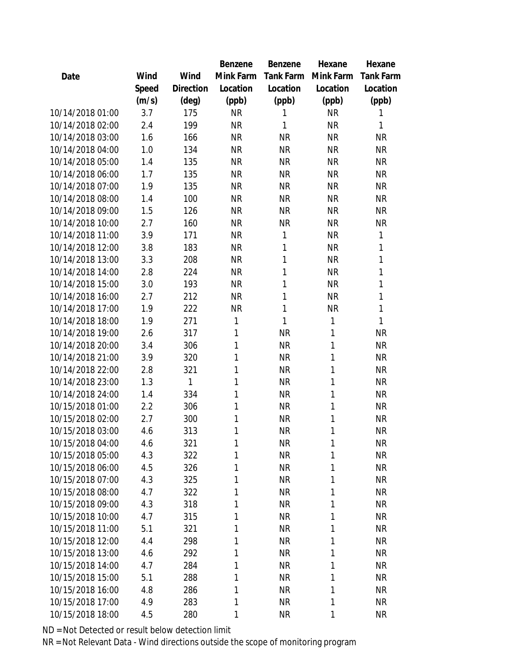|                  |       |                | Benzene   | <b>Benzene</b> | Hexane    | Hexane           |
|------------------|-------|----------------|-----------|----------------|-----------|------------------|
| Date             | Wind  | Wind           | Mink Farm | Tank Farm      | Mink Farm | <b>Tank Farm</b> |
|                  | Speed | Direction      | Location  | Location       | Location  | Location         |
|                  | (m/s) | $(\text{deg})$ | (ppb)     | (ppb)          | (ppb)     | (ppb)            |
| 10/14/2018 01:00 | 3.7   | 175            | <b>NR</b> | 1              | <b>NR</b> | 1                |
| 10/14/2018 02:00 | 2.4   | 199            | <b>NR</b> | 1              | <b>NR</b> | 1                |
| 10/14/2018 03:00 | 1.6   | 166            | <b>NR</b> | <b>NR</b>      | <b>NR</b> | <b>NR</b>        |
| 10/14/2018 04:00 | 1.0   | 134            | <b>NR</b> | <b>NR</b>      | <b>NR</b> | <b>NR</b>        |
| 10/14/2018 05:00 | 1.4   | 135            | <b>NR</b> | <b>NR</b>      | <b>NR</b> | <b>NR</b>        |
| 10/14/2018 06:00 | 1.7   | 135            | <b>NR</b> | <b>NR</b>      | <b>NR</b> | <b>NR</b>        |
| 10/14/2018 07:00 | 1.9   | 135            | <b>NR</b> | <b>NR</b>      | <b>NR</b> | <b>NR</b>        |
| 10/14/2018 08:00 | 1.4   | 100            | <b>NR</b> | <b>NR</b>      | <b>NR</b> | <b>NR</b>        |
| 10/14/2018 09:00 | 1.5   | 126            | <b>NR</b> | <b>NR</b>      | <b>NR</b> | <b>NR</b>        |
| 10/14/2018 10:00 | 2.7   | 160            | <b>NR</b> | <b>NR</b>      | <b>NR</b> | <b>NR</b>        |
| 10/14/2018 11:00 | 3.9   | 171            | <b>NR</b> | 1              | <b>NR</b> | 1                |
| 10/14/2018 12:00 | 3.8   | 183            | <b>NR</b> | 1              | <b>NR</b> | 1                |
| 10/14/2018 13:00 | 3.3   | 208            | <b>NR</b> | 1              | <b>NR</b> | 1                |
| 10/14/2018 14:00 | 2.8   | 224            | <b>NR</b> | 1              | <b>NR</b> | 1                |
| 10/14/2018 15:00 | 3.0   | 193            | <b>NR</b> | 1              | <b>NR</b> | 1                |
| 10/14/2018 16:00 | 2.7   | 212            | <b>NR</b> | 1              | <b>NR</b> | 1                |
| 10/14/2018 17:00 | 1.9   | 222            | <b>NR</b> | 1              | <b>NR</b> | 1                |
| 10/14/2018 18:00 | 1.9   | 271            | 1         | 1              | 1         | 1                |
| 10/14/2018 19:00 | 2.6   | 317            | 1         | <b>NR</b>      | 1         | <b>NR</b>        |
| 10/14/2018 20:00 | 3.4   | 306            | 1         | <b>NR</b>      | 1         | <b>NR</b>        |
| 10/14/2018 21:00 | 3.9   | 320            | 1         | <b>NR</b>      | 1         | <b>NR</b>        |
| 10/14/2018 22:00 | 2.8   | 321            | 1         | <b>NR</b>      | 1         | <b>NR</b>        |
| 10/14/2018 23:00 | 1.3   | 1              | 1         | <b>NR</b>      | 1         | <b>NR</b>        |
| 10/14/2018 24:00 | 1.4   | 334            | 1         | <b>NR</b>      | 1         | <b>NR</b>        |
| 10/15/2018 01:00 | 2.2   | 306            | 1         | <b>NR</b>      | 1         | <b>NR</b>        |
| 10/15/2018 02:00 | 2.7   | 300            | 1         | <b>NR</b>      | 1         | <b>NR</b>        |
| 10/15/2018 03:00 | 4.6   | 313            | 1         | <b>NR</b>      | 1         | <b>NR</b>        |
| 10/15/2018 04:00 | 4.6   | 321            | 1         | <b>NR</b>      | 1         | <b>NR</b>        |
| 10/15/2018 05:00 | 4.3   | 322            | 1         | <b>NR</b>      | 1         | <b>NR</b>        |
| 10/15/2018 06:00 | 4.5   | 326            | 1         | <b>NR</b>      | 1         | <b>NR</b>        |
| 10/15/2018 07:00 | 4.3   | 325            | 1         | <b>NR</b>      | 1         | <b>NR</b>        |
| 10/15/2018 08:00 | 4.7   | 322            | 1         | <b>NR</b>      | 1         | <b>NR</b>        |
| 10/15/2018 09:00 | 4.3   | 318            | 1         | <b>NR</b>      | 1         | <b>NR</b>        |
| 10/15/2018 10:00 | 4.7   | 315            | 1         | <b>NR</b>      | 1         | <b>NR</b>        |
| 10/15/2018 11:00 | 5.1   | 321            | 1         | <b>NR</b>      | 1         | <b>NR</b>        |
| 10/15/2018 12:00 | 4.4   | 298            | 1         | <b>NR</b>      | 1         | <b>NR</b>        |
| 10/15/2018 13:00 | 4.6   | 292            | 1         | <b>NR</b>      | 1         | <b>NR</b>        |
| 10/15/2018 14:00 | 4.7   | 284            | 1         | <b>NR</b>      | 1         | <b>NR</b>        |
| 10/15/2018 15:00 | 5.1   | 288            | 1         | <b>NR</b>      | 1         | <b>NR</b>        |
| 10/15/2018 16:00 | 4.8   | 286            | 1         | <b>NR</b>      | 1         | <b>NR</b>        |
| 10/15/2018 17:00 | 4.9   | 283            | 1         | <b>NR</b>      | 1         | <b>NR</b>        |
| 10/15/2018 18:00 | 4.5   | 280            | 1         | <b>NR</b>      | 1         | <b>NR</b>        |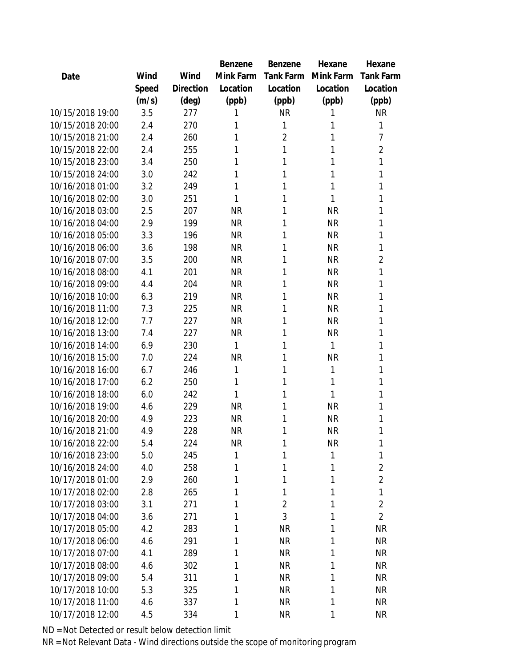|                  |       |                | Benzene   | Benzene          | Hexane       | Hexane           |
|------------------|-------|----------------|-----------|------------------|--------------|------------------|
| Date             | Wind  | Wind           | Mink Farm | <b>Tank Farm</b> | Mink Farm    | <b>Tank Farm</b> |
|                  | Speed | Direction      | Location  | Location         | Location     | Location         |
|                  | (m/s) | $(\text{deg})$ | (ppb)     | (ppb)            | (ppb)        | (ppb)            |
| 10/15/2018 19:00 | 3.5   | 277            | 1         | <b>NR</b>        | 1            | <b>NR</b>        |
| 10/15/2018 20:00 | 2.4   | 270            | 1         | 1                | 1            | 1                |
| 10/15/2018 21:00 | 2.4   | 260            | 1         | 2                | 1            | 7                |
| 10/15/2018 22:00 | 2.4   | 255            | 1         | 1                | 1            | $\overline{2}$   |
| 10/15/2018 23:00 | 3.4   | 250            | 1         | 1                | 1            | 1                |
| 10/15/2018 24:00 | 3.0   | 242            | 1         | 1                | 1            | 1                |
| 10/16/2018 01:00 | 3.2   | 249            | 1         | 1                | 1            | 1                |
| 10/16/2018 02:00 | 3.0   | 251            | 1         | 1                | 1            | 1                |
| 10/16/2018 03:00 | 2.5   | 207            | <b>NR</b> | 1                | <b>NR</b>    | 1                |
| 10/16/2018 04:00 | 2.9   | 199            | <b>NR</b> | 1                | <b>NR</b>    | 1                |
| 10/16/2018 05:00 | 3.3   | 196            | <b>NR</b> | 1                | <b>NR</b>    | 1                |
| 10/16/2018 06:00 | 3.6   | 198            | <b>NR</b> | 1                | <b>NR</b>    | 1                |
| 10/16/2018 07:00 | 3.5   | 200            | <b>NR</b> | 1                | <b>NR</b>    | 2                |
| 10/16/2018 08:00 | 4.1   | 201            | <b>NR</b> | 1                | <b>NR</b>    | 1                |
| 10/16/2018 09:00 | 4.4   | 204            | <b>NR</b> | 1                | <b>NR</b>    | 1                |
| 10/16/2018 10:00 | 6.3   | 219            | <b>NR</b> | 1                | <b>NR</b>    | 1                |
| 10/16/2018 11:00 | 7.3   | 225            | <b>NR</b> | 1                | <b>NR</b>    | 1                |
| 10/16/2018 12:00 | 7.7   | 227            | <b>NR</b> | 1                | <b>NR</b>    | 1                |
| 10/16/2018 13:00 | 7.4   | 227            | <b>NR</b> | 1                | <b>NR</b>    | 1                |
| 10/16/2018 14:00 | 6.9   | 230            | 1         | 1                | 1            | 1                |
| 10/16/2018 15:00 | 7.0   | 224            | <b>NR</b> | 1                | <b>NR</b>    | 1                |
| 10/16/2018 16:00 | 6.7   | 246            | 1         | 1                | 1            | 1                |
| 10/16/2018 17:00 | 6.2   | 250            | 1         | 1                | 1            | 1                |
| 10/16/2018 18:00 | 6.0   | 242            | 1         | 1                | 1            | 1                |
| 10/16/2018 19:00 | 4.6   | 229            | <b>NR</b> | 1                | <b>NR</b>    | 1                |
| 10/16/2018 20:00 | 4.9   | 223            | <b>NR</b> | 1                | <b>NR</b>    | 1                |
| 10/16/2018 21:00 | 4.9   | 228            | <b>NR</b> | 1                | <b>NR</b>    | 1                |
| 10/16/2018 22:00 | 5.4   | 224            | <b>NR</b> | 1                | <b>NR</b>    | 1                |
| 10/16/2018 23:00 | 5.0   | 245            | 1         | 1                | $\mathbf{1}$ | 1                |
| 10/16/2018 24:00 | 4.0   | 258            | 1         | 1                | 1            | $\overline{2}$   |
| 10/17/2018 01:00 | 2.9   | 260            | 1         | 1                | 1            | $\overline{2}$   |
| 10/17/2018 02:00 | 2.8   | 265            | 1         | 1                | 1            | 1                |
| 10/17/2018 03:00 | 3.1   | 271            | 1         | $\overline{2}$   | 1            | $\overline{2}$   |
| 10/17/2018 04:00 | 3.6   | 271            | 1         | 3                | 1            | $\overline{2}$   |
| 10/17/2018 05:00 | 4.2   | 283            | 1         | <b>NR</b>        | 1            | <b>NR</b>        |
| 10/17/2018 06:00 | 4.6   | 291            | 1         | <b>NR</b>        | 1            | <b>NR</b>        |
| 10/17/2018 07:00 | 4.1   | 289            | 1         | <b>NR</b>        | 1            | <b>NR</b>        |
| 10/17/2018 08:00 | 4.6   | 302            | 1         | <b>NR</b>        | 1            | <b>NR</b>        |
| 10/17/2018 09:00 | 5.4   | 311            | 1         | <b>NR</b>        | 1            | <b>NR</b>        |
| 10/17/2018 10:00 | 5.3   | 325            | 1         | <b>NR</b>        | 1            | NR               |
| 10/17/2018 11:00 | 4.6   | 337            | 1         | <b>NR</b>        | 1            | <b>NR</b>        |
| 10/17/2018 12:00 | 4.5   | 334            | 1         | <b>NR</b>        | 1            | <b>NR</b>        |
|                  |       |                |           |                  |              |                  |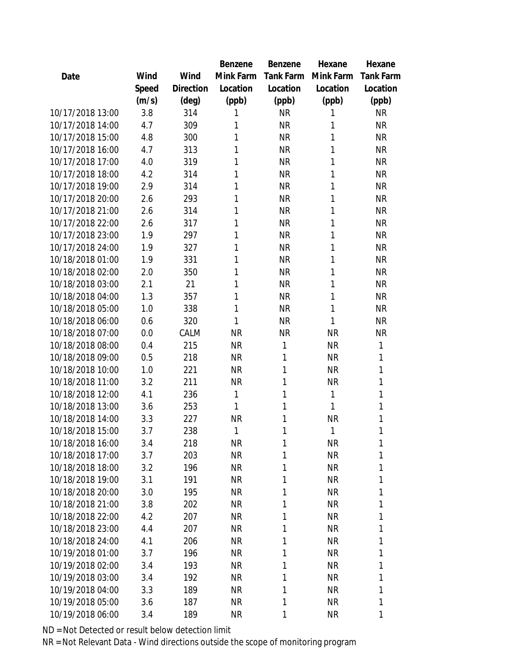|                  |       |                | <b>Benzene</b> | Benzene          | Hexane       | Hexane           |
|------------------|-------|----------------|----------------|------------------|--------------|------------------|
| Date             | Wind  | Wind           | Mink Farm      | <b>Tank Farm</b> | Mink Farm    | <b>Tank Farm</b> |
|                  | Speed | Direction      | Location       | Location         | Location     | Location         |
|                  | (m/s) | $(\text{deg})$ | (ppb)          | (ppb)            | (ppb)        | (ppb)            |
| 10/17/2018 13:00 | 3.8   | 314            | 1              | <b>NR</b>        | 1            | <b>NR</b>        |
| 10/17/2018 14:00 | 4.7   | 309            | 1              | <b>NR</b>        | 1            | <b>NR</b>        |
| 10/17/2018 15:00 | 4.8   | 300            | 1              | <b>NR</b>        | 1            | <b>NR</b>        |
| 10/17/2018 16:00 | 4.7   | 313            | 1              | <b>NR</b>        | 1            | <b>NR</b>        |
| 10/17/2018 17:00 | 4.0   | 319            | 1              | <b>NR</b>        | 1            | <b>NR</b>        |
| 10/17/2018 18:00 | 4.2   | 314            | 1              | <b>NR</b>        | 1            | <b>NR</b>        |
| 10/17/2018 19:00 | 2.9   | 314            | 1              | <b>NR</b>        | 1            | <b>NR</b>        |
| 10/17/2018 20:00 | 2.6   | 293            | 1              | <b>NR</b>        | 1            | <b>NR</b>        |
| 10/17/2018 21:00 | 2.6   | 314            | 1              | <b>NR</b>        | 1            | <b>NR</b>        |
| 10/17/2018 22:00 | 2.6   | 317            | 1              | <b>NR</b>        | 1            | <b>NR</b>        |
| 10/17/2018 23:00 | 1.9   | 297            | 1              | <b>NR</b>        | 1            | <b>NR</b>        |
| 10/17/2018 24:00 | 1.9   | 327            | 1              | <b>NR</b>        | 1            | <b>NR</b>        |
| 10/18/2018 01:00 | 1.9   | 331            | 1              | <b>NR</b>        | 1            | <b>NR</b>        |
| 10/18/2018 02:00 | 2.0   | 350            | 1              | <b>NR</b>        | 1            | <b>NR</b>        |
| 10/18/2018 03:00 | 2.1   | 21             | 1              | <b>NR</b>        | 1            | <b>NR</b>        |
| 10/18/2018 04:00 | 1.3   | 357            | 1              | <b>NR</b>        | 1            | <b>NR</b>        |
| 10/18/2018 05:00 | 1.0   | 338            | 1              | <b>NR</b>        | 1            | <b>NR</b>        |
| 10/18/2018 06:00 | 0.6   | 320            | 1              | <b>NR</b>        | 1            | <b>NR</b>        |
| 10/18/2018 07:00 | 0.0   | CALM           | <b>NR</b>      | <b>NR</b>        | <b>NR</b>    | <b>NR</b>        |
| 10/18/2018 08:00 | 0.4   | 215            | <b>NR</b>      | 1                | <b>NR</b>    | 1                |
| 10/18/2018 09:00 | 0.5   | 218            | <b>NR</b>      | 1                | <b>NR</b>    | 1                |
| 10/18/2018 10:00 | 1.0   | 221            | <b>NR</b>      | 1                | <b>NR</b>    | 1                |
| 10/18/2018 11:00 | 3.2   | 211            | <b>NR</b>      | 1                | <b>NR</b>    | 1                |
| 10/18/2018 12:00 | 4.1   | 236            | 1              | 1                | $\mathbf{1}$ | 1                |
| 10/18/2018 13:00 | 3.6   | 253            | 1              | 1                | 1            | 1                |
| 10/18/2018 14:00 | 3.3   | 227            | <b>NR</b>      | 1                | <b>NR</b>    | 1                |
| 10/18/2018 15:00 | 3.7   | 238            | 1              | 1                | 1            | 1                |
| 10/18/2018 16:00 | 3.4   | 218            | <b>NR</b>      | 1                | <b>NR</b>    | 1                |
| 10/18/2018 17:00 | 3.7   | 203            | <b>NR</b>      | 1                | <b>NR</b>    | 1                |
| 10/18/2018 18:00 | 3.2   | 196            | <b>NR</b>      | 1                | <b>NR</b>    | 1                |
| 10/18/2018 19:00 | 3.1   | 191            | NR             | 1                | <b>NR</b>    | 1                |
| 10/18/2018 20:00 | 3.0   | 195            | <b>NR</b>      | 1                | <b>NR</b>    | 1                |
| 10/18/2018 21:00 | 3.8   | 202            | <b>NR</b>      | 1                | <b>NR</b>    | 1                |
| 10/18/2018 22:00 | 4.2   | 207            | <b>NR</b>      | 1                | <b>NR</b>    | 1                |
| 10/18/2018 23:00 | 4.4   | 207            | <b>NR</b>      | 1                | <b>NR</b>    | 1                |
| 10/18/2018 24:00 | 4.1   | 206            | NR             | 1                | <b>NR</b>    | 1                |
| 10/19/2018 01:00 | 3.7   | 196            | <b>NR</b>      | 1                | <b>NR</b>    | 1                |
| 10/19/2018 02:00 | 3.4   | 193            | <b>NR</b>      | 1                | <b>NR</b>    | 1                |
| 10/19/2018 03:00 | 3.4   | 192            | <b>NR</b>      | 1                | <b>NR</b>    | 1                |
| 10/19/2018 04:00 | 3.3   | 189            | NR             | 1                | <b>NR</b>    | 1                |
| 10/19/2018 05:00 | 3.6   | 187            | <b>NR</b>      | 1                | <b>NR</b>    | 1                |
| 10/19/2018 06:00 | 3.4   | 189            | <b>NR</b>      | 1                | <b>NR</b>    | 1                |